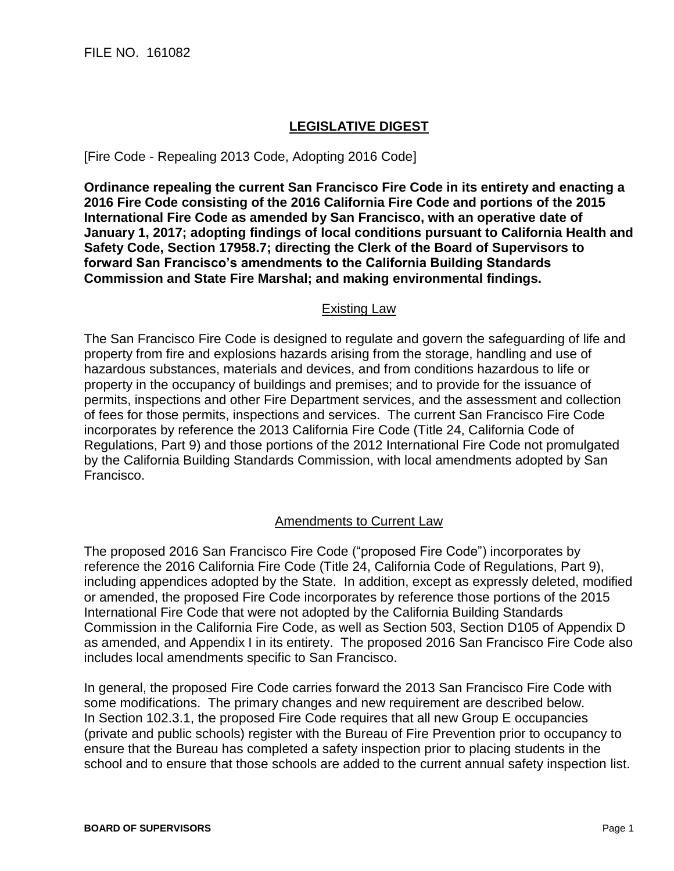## **LEGISLATIVE DIGEST**

[Fire Code - Repealing 2013 Code, Adopting 2016 Code]

**Ordinance repealing the current San Francisco Fire Code in its entirety and enacting a 2016 Fire Code consisting of the 2016 California Fire Code and portions of the 2015 International Fire Code as amended by San Francisco, with an operative date of January 1, 2017; adopting findings of local conditions pursuant to California Health and Safety Code, Section 17958.7; directing the Clerk of the Board of Supervisors to forward San Francisco's amendments to the California Building Standards Commission and State Fire Marshal; and making environmental findings.**

## Existing Law

The San Francisco Fire Code is designed to regulate and govern the safeguarding of life and property from fire and explosions hazards arising from the storage, handling and use of hazardous substances, materials and devices, and from conditions hazardous to life or property in the occupancy of buildings and premises; and to provide for the issuance of permits, inspections and other Fire Department services, and the assessment and collection of fees for those permits, inspections and services. The current San Francisco Fire Code incorporates by reference the 2013 California Fire Code (Title 24, California Code of Regulations, Part 9) and those portions of the 2012 International Fire Code not promulgated by the California Building Standards Commission, with local amendments adopted by San Francisco.

## Amendments to Current Law

The proposed 2016 San Francisco Fire Code ("proposed Fire Code") incorporates by reference the 2016 California Fire Code (Title 24, California Code of Regulations, Part 9), including appendices adopted by the State. In addition, except as expressly deleted, modified or amended, the proposed Fire Code incorporates by reference those portions of the 2015 International Fire Code that were not adopted by the California Building Standards Commission in the California Fire Code, as well as Section 503, Section D105 of Appendix D as amended, and Appendix I in its entirety. The proposed 2016 San Francisco Fire Code also includes local amendments specific to San Francisco.

In general, the proposed Fire Code carries forward the 2013 San Francisco Fire Code with some modifications. The primary changes and new requirement are described below. In Section 102.3.1, the proposed Fire Code requires that all new Group E occupancies (private and public schools) register with the Bureau of Fire Prevention prior to occupancy to ensure that the Bureau has completed a safety inspection prior to placing students in the school and to ensure that those schools are added to the current annual safety inspection list.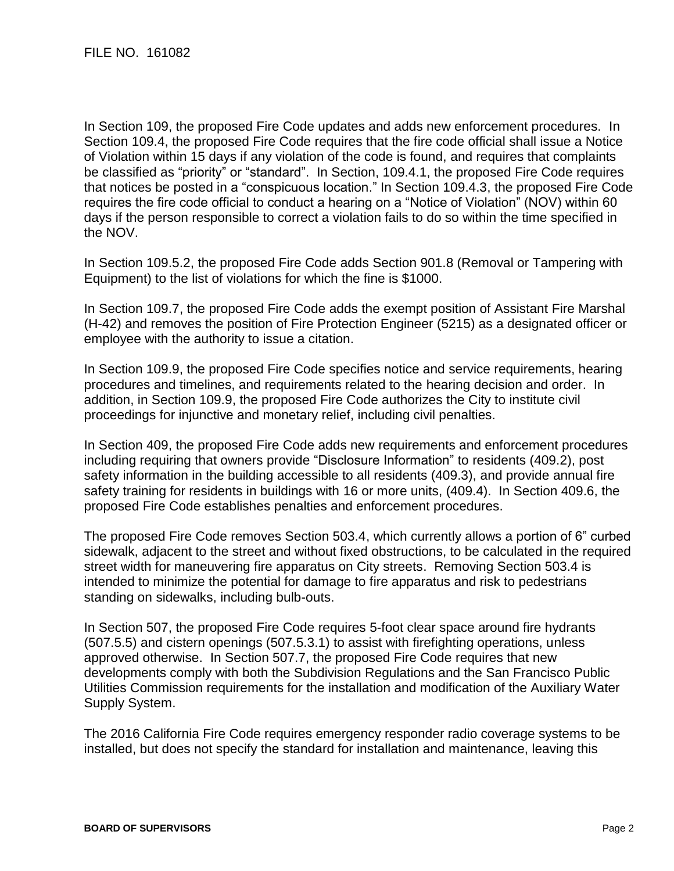In Section 109, the proposed Fire Code updates and adds new enforcement procedures. In Section 109.4, the proposed Fire Code requires that the fire code official shall issue a Notice of Violation within 15 days if any violation of the code is found, and requires that complaints be classified as "priority" or "standard". In Section, 109.4.1, the proposed Fire Code requires that notices be posted in a "conspicuous location." In Section 109.4.3, the proposed Fire Code requires the fire code official to conduct a hearing on a "Notice of Violation" (NOV) within 60 days if the person responsible to correct a violation fails to do so within the time specified in the NOV.

In Section 109.5.2, the proposed Fire Code adds Section 901.8 (Removal or Tampering with Equipment) to the list of violations for which the fine is \$1000.

In Section 109.7, the proposed Fire Code adds the exempt position of Assistant Fire Marshal (H-42) and removes the position of Fire Protection Engineer (5215) as a designated officer or employee with the authority to issue a citation.

In Section 109.9, the proposed Fire Code specifies notice and service requirements, hearing procedures and timelines, and requirements related to the hearing decision and order. In addition, in Section 109.9, the proposed Fire Code authorizes the City to institute civil proceedings for injunctive and monetary relief, including civil penalties.

In Section 409, the proposed Fire Code adds new requirements and enforcement procedures including requiring that owners provide "Disclosure Information" to residents (409.2), post safety information in the building accessible to all residents (409.3), and provide annual fire safety training for residents in buildings with 16 or more units, (409.4). In Section 409.6, the proposed Fire Code establishes penalties and enforcement procedures.

The proposed Fire Code removes Section 503.4, which currently allows a portion of 6" curbed sidewalk, adjacent to the street and without fixed obstructions, to be calculated in the required street width for maneuvering fire apparatus on City streets. Removing Section 503.4 is intended to minimize the potential for damage to fire apparatus and risk to pedestrians standing on sidewalks, including bulb-outs.

In Section 507, the proposed Fire Code requires 5-foot clear space around fire hydrants (507.5.5) and cistern openings (507.5.3.1) to assist with firefighting operations, unless approved otherwise. In Section 507.7, the proposed Fire Code requires that new developments comply with both the Subdivision Regulations and the San Francisco Public Utilities Commission requirements for the installation and modification of the Auxiliary Water Supply System.

The 2016 California Fire Code requires emergency responder radio coverage systems to be installed, but does not specify the standard for installation and maintenance, leaving this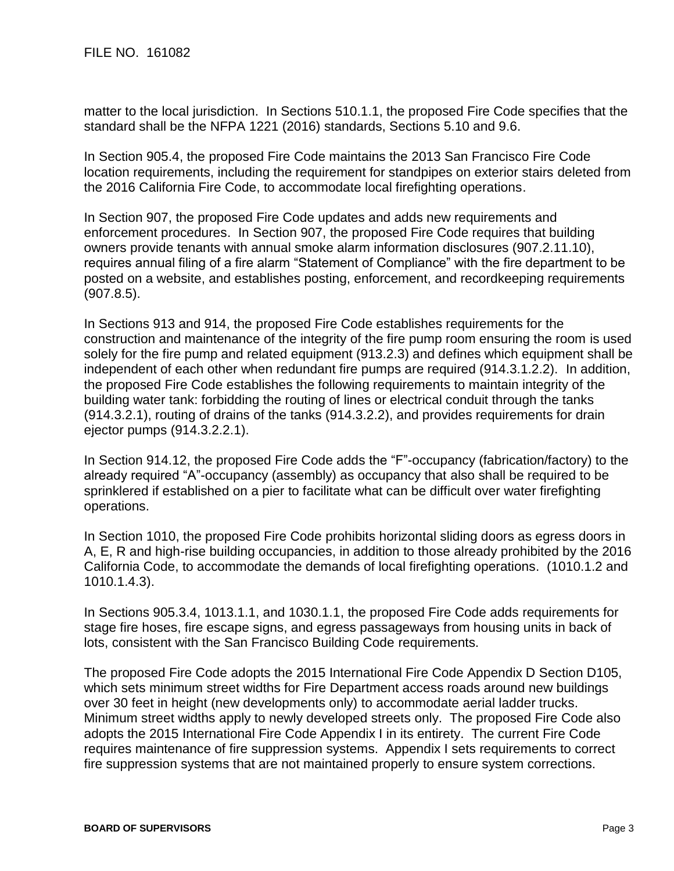matter to the local jurisdiction. In Sections 510.1.1, the proposed Fire Code specifies that the standard shall be the NFPA 1221 (2016) standards, Sections 5.10 and 9.6.

In Section 905.4, the proposed Fire Code maintains the 2013 San Francisco Fire Code location requirements, including the requirement for standpipes on exterior stairs deleted from the 2016 California Fire Code, to accommodate local firefighting operations.

In Section 907, the proposed Fire Code updates and adds new requirements and enforcement procedures. In Section 907, the proposed Fire Code requires that building owners provide tenants with annual smoke alarm information disclosures (907.2.11.10), requires annual filing of a fire alarm "Statement of Compliance" with the fire department to be posted on a website, and establishes posting, enforcement, and recordkeeping requirements (907.8.5).

In Sections 913 and 914, the proposed Fire Code establishes requirements for the construction and maintenance of the integrity of the fire pump room ensuring the room is used solely for the fire pump and related equipment (913.2.3) and defines which equipment shall be independent of each other when redundant fire pumps are required (914.3.1.2.2). In addition, the proposed Fire Code establishes the following requirements to maintain integrity of the building water tank: forbidding the routing of lines or electrical conduit through the tanks (914.3.2.1), routing of drains of the tanks (914.3.2.2), and provides requirements for drain ejector pumps (914.3.2.2.1).

In Section 914.12, the proposed Fire Code adds the "F"-occupancy (fabrication/factory) to the already required "A"-occupancy (assembly) as occupancy that also shall be required to be sprinklered if established on a pier to facilitate what can be difficult over water firefighting operations.

In Section 1010, the proposed Fire Code prohibits horizontal sliding doors as egress doors in A, E, R and high-rise building occupancies, in addition to those already prohibited by the 2016 California Code, to accommodate the demands of local firefighting operations. (1010.1.2 and 1010.1.4.3).

In Sections 905.3.4, 1013.1.1, and 1030.1.1, the proposed Fire Code adds requirements for stage fire hoses, fire escape signs, and egress passageways from housing units in back of lots, consistent with the San Francisco Building Code requirements.

The proposed Fire Code adopts the 2015 International Fire Code Appendix D Section D105, which sets minimum street widths for Fire Department access roads around new buildings over 30 feet in height (new developments only) to accommodate aerial ladder trucks. Minimum street widths apply to newly developed streets only. The proposed Fire Code also adopts the 2015 International Fire Code Appendix I in its entirety. The current Fire Code requires maintenance of fire suppression systems. Appendix I sets requirements to correct fire suppression systems that are not maintained properly to ensure system corrections.